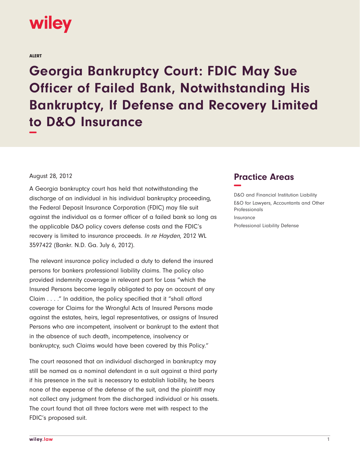

ALERT

**Georgia Bankruptcy Court: FDIC May Sue Officer of Failed Bank, Notwithstanding His Bankruptcy, If Defense and Recovery Limited to D&O Insurance −**

August 28, 2012

A Georgia bankruptcy court has held that notwithstanding the discharge of an individual in his individual bankruptcy proceeding, the Federal Deposit Insurance Corporation (FDIC) may file suit against the individual as a former officer of a failed bank so long as the applicable D&O policy covers defense costs and the FDIC's recovery is limited to insurance proceeds. In re Hayden, 2012 WL 3597422 (Bankr. N.D. Ga. July 6, 2012).

The relevant insurance policy included a duty to defend the insured persons for bankers professional liability claims. The policy also provided indemnity coverage in relevant part for Loss "which the Insured Persons become legally obligated to pay on account of any Claim . . . ." In addition, the policy specified that it "shall afford coverage for Claims for the Wrongful Acts of Insured Persons made against the estates, heirs, legal representatives, or assigns of Insured Persons who are incompetent, insolvent or bankrupt to the extent that in the absence of such death, incompetence, insolvency or bankruptcy, such Claims would have been covered by this Policy."

The court reasoned that an individual discharged in bankruptcy may still be named as a nominal defendant in a suit against a third party if his presence in the suit is necessary to establish liability, he bears none of the expense of the defense of the suit, and the plaintiff may not collect any judgment from the discharged individual or his assets. The court found that all three factors were met with respect to the FDIC's proposed suit.

## **Practice Areas −**

D&O and Financial Institution Liability E&O for Lawyers, Accountants and Other Professionals Insurance Professional Liability Defense